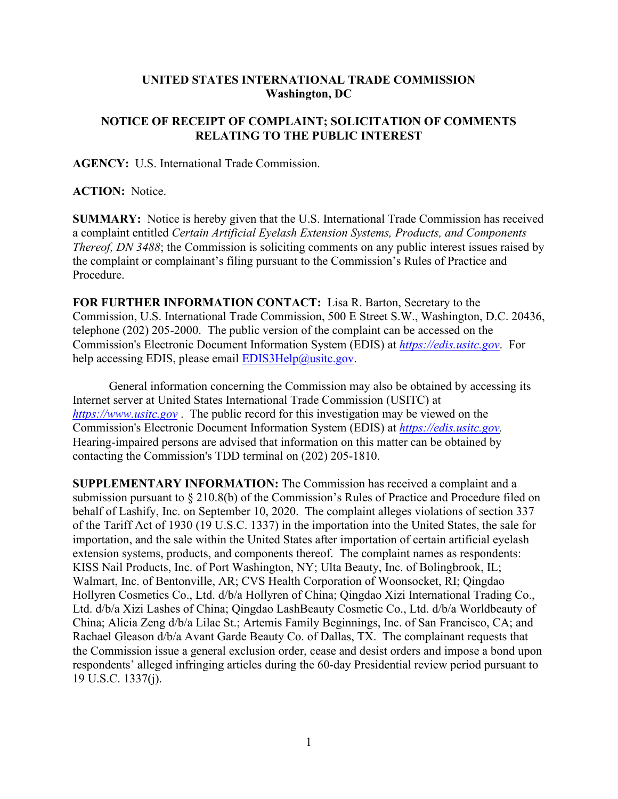## **UNITED STATES INTERNATIONAL TRADE COMMISSION Washington, DC**

## **NOTICE OF RECEIPT OF COMPLAINT; SOLICITATION OF COMMENTS RELATING TO THE PUBLIC INTEREST**

**AGENCY:** U.S. International Trade Commission.

**ACTION:** Notice.

**SUMMARY:** Notice is hereby given that the U.S. International Trade Commission has received a complaint entitled *Certain Artificial Eyelash Extension Systems, Products, and Components Thereof, DN 3488*; the Commission is soliciting comments on any public interest issues raised by the complaint or complainant's filing pursuant to the Commission's Rules of Practice and Procedure.

**FOR FURTHER INFORMATION CONTACT:** Lisa R. Barton, Secretary to the Commission, U.S. International Trade Commission, 500 E Street S.W., Washington, D.C. 20436, telephone (202) 205-2000. The public version of the complaint can be accessed on the Commission's Electronic Document Information System (EDIS) at *[https://edis.usitc.gov](https://edis.usitc.gov/)*. For help accessing EDIS, please email  $EDIS3Help@usite.gov$ .

General information concerning the Commission may also be obtained by accessing its Internet server at United States International Trade Commission (USITC) at *[https://www.usitc.gov](https://www.usitc.gov/)* . The public record for this investigation may be viewed on the Commission's Electronic Document Information System (EDIS) at *[https://edis.usitc.gov.](https://edis.usitc.gov/)* Hearing-impaired persons are advised that information on this matter can be obtained by contacting the Commission's TDD terminal on (202) 205-1810.

**SUPPLEMENTARY INFORMATION:** The Commission has received a complaint and a submission pursuant to § 210.8(b) of the Commission's Rules of Practice and Procedure filed on behalf of Lashify, Inc. on September 10, 2020. The complaint alleges violations of section 337 of the Tariff Act of 1930 (19 U.S.C. 1337) in the importation into the United States, the sale for importation, and the sale within the United States after importation of certain artificial eyelash extension systems, products, and components thereof. The complaint names as respondents: KISS Nail Products, Inc. of Port Washington, NY; Ulta Beauty, Inc. of Bolingbrook, IL; Walmart, Inc. of Bentonville, AR; CVS Health Corporation of Woonsocket, RI; Qingdao Hollyren Cosmetics Co., Ltd. d/b/a Hollyren of China; Qingdao Xizi International Trading Co., Ltd. d/b/a Xizi Lashes of China; Qingdao LashBeauty Cosmetic Co., Ltd. d/b/a Worldbeauty of China; Alicia Zeng d/b/a Lilac St.; Artemis Family Beginnings, Inc. of San Francisco, CA; and Rachael Gleason d/b/a Avant Garde Beauty Co. of Dallas, TX. The complainant requests that the Commission issue a general exclusion order, cease and desist orders and impose a bond upon respondents' alleged infringing articles during the 60-day Presidential review period pursuant to 19 U.S.C. 1337(j).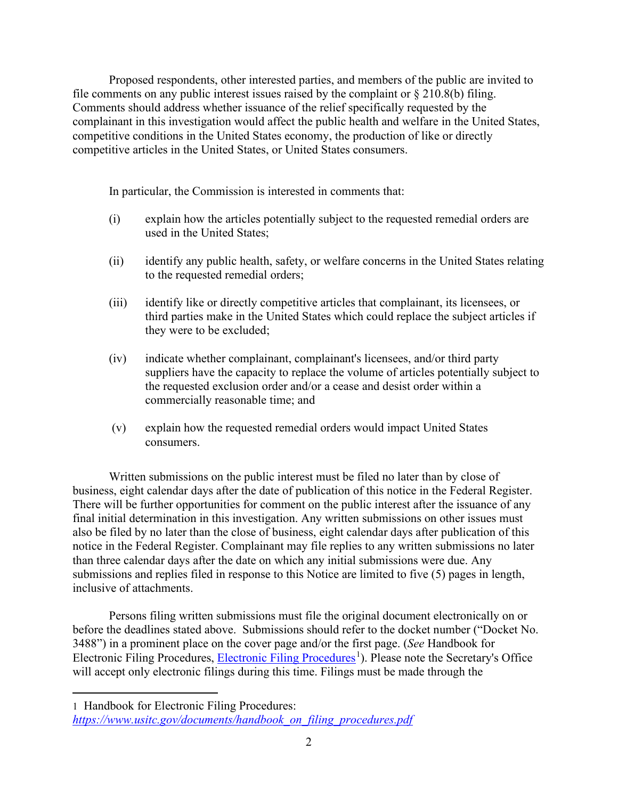Proposed respondents, other interested parties, and members of the public are invited to file comments on any public interest issues raised by the complaint or  $\S 210.8(b)$  filing. Comments should address whether issuance of the relief specifically requested by the complainant in this investigation would affect the public health and welfare in the United States, competitive conditions in the United States economy, the production of like or directly competitive articles in the United States, or United States consumers.

In particular, the Commission is interested in comments that:

- (i) explain how the articles potentially subject to the requested remedial orders are used in the United States;
- (ii) identify any public health, safety, or welfare concerns in the United States relating to the requested remedial orders;
- (iii) identify like or directly competitive articles that complainant, its licensees, or third parties make in the United States which could replace the subject articles if they were to be excluded;
- (iv) indicate whether complainant, complainant's licensees, and/or third party suppliers have the capacity to replace the volume of articles potentially subject to the requested exclusion order and/or a cease and desist order within a commercially reasonable time; and
- (v) explain how the requested remedial orders would impact United States consumers.

Written submissions on the public interest must be filed no later than by close of business, eight calendar days after the date of publication of this notice in the Federal Register. There will be further opportunities for comment on the public interest after the issuance of any final initial determination in this investigation. Any written submissions on other issues must also be filed by no later than the close of business, eight calendar days after publication of this notice in the Federal Register. Complainant may file replies to any written submissions no later than three calendar days after the date on which any initial submissions were due. Any submissions and replies filed in response to this Notice are limited to five (5) pages in length, inclusive of attachments.

Persons filing written submissions must file the original document electronically on or before the deadlines stated above. Submissions should refer to the docket number ("Docket No. 3488") in a prominent place on the cover page and/or the first page. (*See* Handbook for [Electronic Filing Procedures](https://www.usitc.gov/documents/handbook_on_filing_procedures.pdf), Electronic Filing Procedures<sup>[1](#page-1-0)</sup>). Please note the Secretary's Office will accept only electronic filings during this time. Filings must be made through the

<span id="page-1-0"></span><sup>1</sup> Handbook for Electronic Filing Procedures: *[https://www.usitc.gov/documents/handbook\\_on\\_filing\\_procedures.pdf](https://www.usitc.gov/documents/handbook_on_filing_procedures.pdf)*